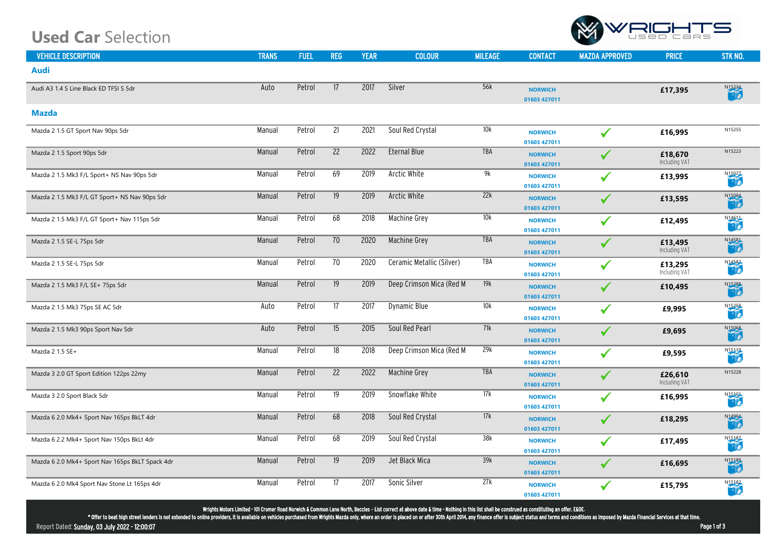## **Used Car** Selection

| <b>VEHICLE DESCRIPTION</b>                      | <b>TRANS</b> | <b>FUEL</b> | <b>REG</b>      | <b>YEAR</b> | <b>COLOUR</b>             | <b>MILEAGE</b> | <b>CONTACT</b>                 |
|-------------------------------------------------|--------------|-------------|-----------------|-------------|---------------------------|----------------|--------------------------------|
| <b>Audi</b>                                     |              |             |                 |             |                           |                |                                |
| Audi A3 1.4 S Line Black ED TFSI S 5dr          | Auto         | Petrol      | 17              | 2017        | Silver                    | 56k            | <b>NORWICH</b><br>01603 427011 |
| Mazda                                           |              |             |                 |             |                           |                |                                |
| Mazda 2 1.5 GT Sport Nav 90ps 5dr               | Manual       | Petrol      | $\overline{21}$ | 2021        | Soul Red Crystal          | 10k            | <b>NORWICH</b><br>01603 427011 |
| Mazda 2 1.5 Sport 90ps 5dr                      | Manual       | Petrol      | $\overline{22}$ | 2022        | <b>Eternal Blue</b>       | <b>TBA</b>     | <b>NORWICH</b><br>01603 427011 |
| Mazda 2 1.5 Mk3 F/L Sport+ NS Nav 90ps 5dr      | Manual       | Petrol      | 69              | 2019        | <b>Arctic White</b>       | 9k             | <b>NORWICH</b><br>01603 427011 |
| Mazda 2 1.5 Mk3 F/L GT Sport+ NS Nav 90ps 5dr   | Manual       | Petrol      | 19              | 2019        | <b>Arctic White</b>       | 22k            | <b>NORWICH</b><br>01603 427011 |
| Mazda 2 1.5 Mk3 F/L GT Sport+ Nav 115ps 5dr     | Manual       | Petrol      | 68              | 2018        | <b>Machine Grey</b>       | 10k            | <b>NORWICH</b><br>01603 427011 |
| Mazda 2 1.5 SE-L 75ps 5dr                       | Manual       | Petrol      | 70              | 2020        | <b>Machine Grey</b>       | <b>TBA</b>     | <b>NORWICH</b><br>01603 427011 |
| Mazda 2 1.5 SE-L 75ps 5dr                       | Manual       | Petrol      | 70              | 2020        | Ceramic Metallic (Silver) | <b>TBA</b>     | <b>NORWICH</b><br>01603 427011 |
| Mazda 2 1.5 Mk3 F/L SE+ 75ps 5dr                | Manual       | Petrol      | $\overline{19}$ | 2019        | Deep Crimson Mica (Red M  | 19k            | <b>NORWICH</b><br>01603 427011 |
| Mazda 2 1.5 Mk3 75ps SE AC 5dr                  | Auto         | Petrol      | $\overline{17}$ | 2017        | <b>Dynamic Blue</b>       | 10k            | <b>NORWICH</b><br>01603 427011 |
| Mazda 2 1.5 Mk3 90ps Sport Nav 5dr              | Auto         | Petrol      | 15              | 2015        | Soul Red Pearl            | 71k            | <b>NORWICH</b><br>01603 427011 |
| Mazda 2 1.5 SE+                                 | Manual       | Petrol      | $\overline{18}$ | 2018        | Deep Crimson Mica (Red M  | 29k            | <b>NORWICH</b><br>01603 427011 |
| Mazda 3 2.0 GT Sport Edition 122ps 22my         | Manual       | Petrol      | $\overline{22}$ | 2022        | Machine Grey              | <b>TBA</b>     | <b>NORWICH</b><br>01603 427011 |
| Mazda 3 2.0 Sport Black 5dr                     | Manual       | Petrol      | 19              | 2019        | Snowflake White           | 17k            | <b>NORWICH</b><br>01603 427011 |
| Mazda 6 2.0 Mk4+ Sport Nav 165ps BkLT 4dr       | Manual       | Petrol      | 68              | 2018        | Soul Red Crystal          | 17k            | <b>NORWICH</b><br>01603 427011 |
| Mazda 6 2.2 Mk4+ Sport Nav 150ps BkLt 4dr       | Manual       | Petrol      | 68              | 2019        | Soul Red Crystal          | 38k            | <b>NORWICH</b><br>01603 427011 |
| Mazda 6 2.0 Mk4+ Sport Nav 165ps BkLT Spack 4dr | Manual       | Petrol      | 19              | 2019        | Jet Black Mica            | 39k            | <b>NORWICH</b><br>01603 42701  |
| Mazda 6 2.0 Mk4 Sport Nav Stone Lt 165ps 4dr    | Manual       | Petrol      | $\overline{17}$ | 2017        | Sonic Silver              | 27k            | <b>NORWICH</b><br>01603 427011 |

Wrights Motors Limited - 101 Cromer Road Norwich & Common Lane North, Beccles **-** List correct at above date & time - Nothing in this list shall be construed as constituting an offer. E&OE**.** 

\* Offer to beat high street lenders is not extended to online providers, it is available on vehicles purchased from Wrights Mazda only, where an order is placed on or after 30th April 2014, any finance offer is subject sta

Report Dated: Sunday, 03 July 2022 - 12:00:07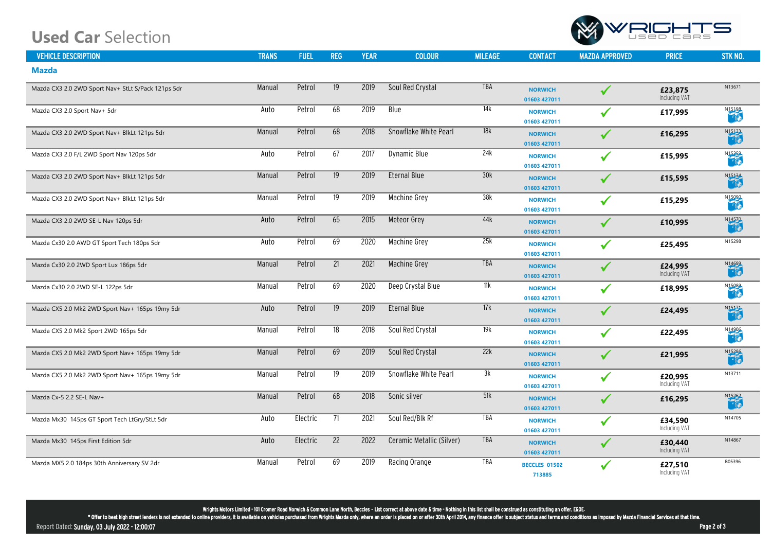## **Used Car** Selection

| <b>VEHICLE DESCRIPTION</b>                         | <b>TRANS</b> | <b>FUEL</b> | <b>REG</b>      | <b>YEAR</b> | <b>COLOUR</b>             | <b>MILEAGE</b> | <b>CONTACT</b>                 |
|----------------------------------------------------|--------------|-------------|-----------------|-------------|---------------------------|----------------|--------------------------------|
| <b>Mazda</b>                                       |              |             |                 |             |                           |                |                                |
| Mazda CX3 2.0 2WD Sport Nav+ StLt S/Pack 121ps 5dr | Manual       | Petrol      | 19              | 2019        | Soul Red Crystal          | <b>TBA</b>     | <b>NORWICH</b><br>01603 427011 |
| Mazda CX3 2.0 Sport Nav+ 5dr                       | Auto         | Petrol      | 68              | 2019        | <b>Blue</b>               | 14k            | <b>NORWICH</b><br>01603 427011 |
| Mazda CX3 2.0 2WD Sport Nav+ BlkLt 121ps 5dr       | Manual       | Petrol      | 68              | 2018        | Snowflake White Pearl     | 18k            | <b>NORWICH</b><br>01603 427011 |
| Mazda CX3 2.0 F/L 2WD Sport Nav 120ps 5dr          | Auto         | Petrol      | 67              | 2017        | <b>Dynamic Blue</b>       | 24k            | <b>NORWICH</b><br>01603 427011 |
| Mazda CX3 2.0 2WD Sport Nav+ BlkLt 121ps 5dr       | Manual       | Petrol      | 19              | 2019        | <b>Eternal Blue</b>       | 30k            | <b>NORWICH</b><br>01603 427011 |
| Mazda CX3 2.0 2WD Sport Nav+ BlkLt 121ps 5dr       | Manual       | Petrol      | $\overline{19}$ | 2019        | <b>Machine Grey</b>       | 38k            | <b>NORWICH</b><br>01603 427011 |
| Mazda CX3 2.0 2WD SE-L Nav 120ps 5dr               | Auto         | Petrol      | 65              | 2015        | <b>Meteor Grey</b>        | 44k            | <b>NORWICH</b><br>01603 427011 |
| Mazda Cx30 2.0 AWD GT Sport Tech 180ps 5dr         | Auto         | Petrol      | 69              | 2020        | <b>Machine Grey</b>       | 25k            | <b>NORWICH</b><br>01603 427011 |
| Mazda Cx30 2.0 2WD Sport Lux 186ps 5dr             | Manual       | Petrol      | 21              | 2021        | <b>Machine Grey</b>       | <b>TBA</b>     | <b>NORWICH</b><br>01603 427011 |
| Mazda Cx30 2.0 2WD SE-L 122ps 5dr                  | Manual       | Petrol      | 69              | 2020        | Deep Crystal Blue         | 11k            | <b>NORWICH</b><br>01603 427011 |
| Mazda CX5 2.0 Mk2 2WD Sport Nav+ 165ps 19my 5dr    | Auto         | Petrol      | 19              | 2019        | <b>Eternal Blue</b>       | 17k            | <b>NORWICH</b><br>01603 427011 |
| Mazda CX5 2.0 Mk2 Sport 2WD 165ps 5dr              | Manual       | Petrol      | $\overline{18}$ | 2018        | Soul Red Crystal          | 19k            | <b>NORWICH</b><br>01603 427011 |
| Mazda CX5 2.0 Mk2 2WD Sport Nav+ 165ps 19my 5dr    | Manual       | Petrol      | 69              | 2019        | Soul Red Crystal          | 22k            | <b>NORWICH</b><br>01603 427011 |
| Mazda CX5 2.0 Mk2 2WD Sport Nav+ 165ps 19my 5dr    | Manual       | Petrol      | 19              | 2019        | Snowflake White Pearl     | 3k             | <b>NORWICH</b><br>01603 427011 |
| Mazda Cx-5 2.2 SE-L Nav+                           | Manual       | Petrol      | 68              | 2018        | Sonic silver              | 51k            | <b>NORWICH</b><br>01603 427011 |
| Mazda Mx30 145ps GT Sport Tech LtGry/StLt 5dr      | Auto         | Electric    | 71              | 2021        | Soul Red/Blk Rf           | <b>TBA</b>     | <b>NORWICH</b><br>01603 427011 |
| Mazda Mx30 145ps First Edition 5dr                 | Auto         | Electric    | 22              | 2022        | Ceramic Metallic (Silver) | <b>TBA</b>     | <b>NORWICH</b><br>01603 427011 |
| Mazda MX5 2.0 184ps 30th Anniversary SV 2dr        | Manual       | Petrol      | 69              | 2019        | Racing Orange             | <b>TBA</b>     | BECCLES 0150<br>713885         |

Wrights Motors Limited - 101 Cromer Road Norwich & Common Lane North, Beccles **-** List correct at above date & time - Nothing in this list shall be construed as constituting an offer. E&OE**.** 

\* Offer to beat high street lenders is not extended to online providers, it is available on vehicles purchased from Wrights Mazda only, where an order is placed on or after 30th April 2014, any finance offer is subject sta

Report Dated: Sunday, 03 July 2022 - 12:00:07